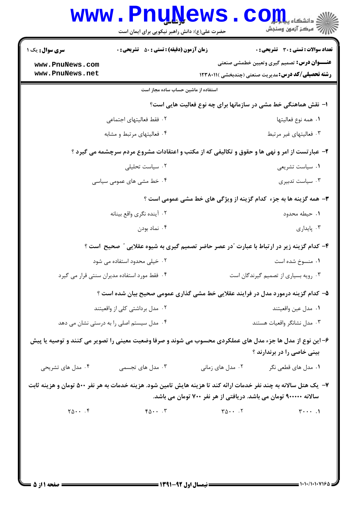| <b>WWW</b>                                                                                                                                                                             | <b>Fnunews</b><br>حضرت علی(ع): دانش راهبر نیکویی برای ایمان است                                                                                  |                  | د دانشگاه پ <b>یا ب<sup>ا</sup> تر<mark>،</mark></b><br>ر آمرڪز آزمون وسنڊش                                     |  |
|----------------------------------------------------------------------------------------------------------------------------------------------------------------------------------------|--------------------------------------------------------------------------------------------------------------------------------------------------|------------------|-----------------------------------------------------------------------------------------------------------------|--|
| <b>سری سوال :</b> یک ۱                                                                                                                                                                 | <b>زمان آزمون (دقیقه) : تستی : 50 ٪ تشریحی : 0</b>                                                                                               |                  | <b>تعداد سوالات : تستی : 30 ٪ تشریحی : 0</b>                                                                    |  |
| www.PnuNews.com<br>www.PnuNews.net                                                                                                                                                     |                                                                                                                                                  |                  | <b>عنـــوان درس:</b> تصمیم گیری وتعیین خطمشی صنعتی<br><b>رشته تحصیلی/کد درس:</b> مدیریت صنعتی (چندبخشی )۱۲۳۸۰۱۱ |  |
|                                                                                                                                                                                        | استفاده از ماشین حساب ساده مجاز است                                                                                                              |                  |                                                                                                                 |  |
| ا– نقش هماهنگی خط مشی در سازمانها برای چه نوع فعالیت هایی است؟                                                                                                                         |                                                                                                                                                  |                  |                                                                                                                 |  |
|                                                                                                                                                                                        | ٢. فقط فعاليتهاى اجتماعى                                                                                                                         |                  | ٠١. همه نوع فعاليتها                                                                                            |  |
|                                                                                                                                                                                        | ۰۴ فعالیتهای مرتبط و مشابه                                                                                                                       |                  | ۰۳ فعالیتهای غیر مرتبط                                                                                          |  |
| ۲- عبارتست از امر و نهی ها و حقوق و تکالیفی که از مکتب و اعتقادات مشروع مردم سرچشمه می گیرد ؟                                                                                          |                                                                                                                                                  |                  |                                                                                                                 |  |
|                                                                                                                                                                                        | ۰۲ سیاست تحلیلی                                                                                                                                  |                  | ۰۱ سیاست تشریعی                                                                                                 |  |
|                                                                                                                                                                                        | ۰۴ خط مشی های عمومی سیاسی                                                                                                                        |                  | ۰۳ سیاست تدبیری                                                                                                 |  |
| <b>۳</b> - همه گزینه ها به جزء کدام گزینه از ویژگی های خط مشی عمومی است ؟                                                                                                              |                                                                                                                                                  |                  |                                                                                                                 |  |
|                                                                                                                                                                                        | ۰۲ آینده نگری واقع بینانه                                                                                                                        |                  | ۰۱ حیطه محدود                                                                                                   |  |
|                                                                                                                                                                                        | ۰۴ نماد بودن                                                                                                                                     |                  | ۰۳ پایداری                                                                                                      |  |
|                                                                                                                                                                                        | ۴- کدام گزینه زیر در ارتباط با عبارت "در عصر حاضر تصمیم گیری به شیوه عقلایی " صحیح است ؟                                                         |                  |                                                                                                                 |  |
|                                                                                                                                                                                        | ۰۲ خیلی محدود استفاده می شود                                                                                                                     |                  | ۰۱ منسوخ شده است                                                                                                |  |
|                                                                                                                                                                                        | ۰۴ فقط مورد استفاده مدیران سنتی قرار می گیرد                                                                                                     |                  | ۰۳ رویه بسیاری از تصمیم گیرندگان است                                                                            |  |
|                                                                                                                                                                                        | ۵– کدام گزینه درمورد مدل در فرایند عقلایی خط مشی گذاری عمومی صحیح بیان شده است ؟                                                                 |                  |                                                                                                                 |  |
|                                                                                                                                                                                        | ۰۲ مدل برداشتی کلی از واقعیتند                                                                                                                   |                  | ٠١ مدل عين واقعيتند                                                                                             |  |
|                                                                                                                                                                                        | ۰۴ مدل سیستم اصلی را به درستی نشان می دهد                                                                                                        |                  | ۰۳ مدل نشانگر واقعیات هستند                                                                                     |  |
| ۶– این نوع از مدل ها جزء مدل های عملکردی محسوب می شوند و صرفا وضعیت معینی را تصویر می کنند و توصیه یا پیش<br>بینی خاصی را در برندارند ؟                                                |                                                                                                                                                  |                  |                                                                                                                 |  |
| ۰۴ مدل های تشریحی                                                                                                                                                                      | ۰۳ مدل های تجسمی                                                                                                                                 | ۰۲ مدل های زمانی | ۰۱ مدل های قطعی نگر                                                                                             |  |
| ۷– یک هتل سالانه به چند نفر خدمات ارائه کند تا هزینه هایش تامین شود. هزینه خدمات به هر نفر ۵۰۰ تومان و هزینه ثابت<br>سالانه ۹۰۰۰۰۰ تومان می باشد. دریافتی از هر نفر ۷۰۰ تومان می باشد. |                                                                                                                                                  |                  |                                                                                                                 |  |
| $Y_0 \cdots Y_n$                                                                                                                                                                       | $r \Delta \cdot \cdot \cdot$ $r \Delta \cdot \cdot \cdot$ $r \Delta \cdot \cdot \cdot$ $r \Delta \cdot \cdot \cdot$ $r \Delta \cdot \cdot \cdot$ |                  | $\uparrow \cdots$ .                                                                                             |  |
|                                                                                                                                                                                        |                                                                                                                                                  |                  |                                                                                                                 |  |
|                                                                                                                                                                                        |                                                                                                                                                  |                  |                                                                                                                 |  |
|                                                                                                                                                                                        |                                                                                                                                                  |                  |                                                                                                                 |  |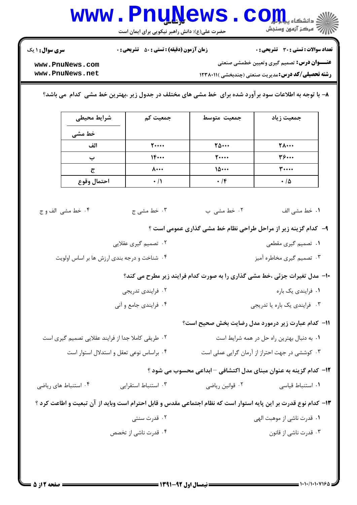## **www.PnuNews.com** ||// مرکز آزمون وسنجش

حضرت علی(ع): دانش راهبر نیکویی برای ایمان است

تعداد سوالات : تستى : 30 - تشريحي : 0

**زمان آزمون (دقیقه) : تستی : ۵۰ تشریحی : 0** 

**سری سوال : ۱ یک** 

**عنـــوان درس:** تصمیم گیری وتعیین خطمشی صنعتی

**رشته تحصیلی/کد درس:**مدیریت صنعتی (چندبخشی )۱۲۳۸۰۱۱ (

www.PnuNews.com www.PnuNews.net

۸– با توجه به اطلاعات سود برآورد شده برای خط مشی های مختلف در جدول زیر ،بهترین خط مشی کدام ًمی باشد؟

| شرايط محيطى | جمعیت کم         | جمعيت متوسط   | جمعیت زیاد   |
|-------------|------------------|---------------|--------------|
| خط مشی      |                  |               |              |
| الف         | <b>T</b> ****    | 70            | <b>TA</b>    |
|             | 1F               | <b>T</b> **** | $\mathbf{r}$ |
| $\tilde{c}$ | $\lambda \cdots$ | 10            | <b>۳</b>     |
| احتمال وقوع | $\cdot$ /1       | $\cdot$ /۴    | ۱۵ ۰         |

۴. خط مشي الف و ج ۰۲ خط مشی ب ۰۳ خط مشي ج **۱**. خط مشے<sub>،</sub> الف

۹- کدام گزینه زیر از مراحل طراحی نظام خط مشی گذاری عمومی است ؟

۲. تصمیم گیری عقلایی ۰۱ تصمیم گیری مقطعی ۰۳ تصمیم گیری مخاطره آمیز ۰۴ شناخت و درجه بندی ارزش ها بر اساس اولویت

**۰۱- مدل تغیرات جزئی ،خط مشی گذاری را به صورت کدام فرایند زیر مطرح می کند؟** 

- ۰۲ فرایندی تدریجی ۰۱ فرایندی یک باره
- ۰۴ فرایندی جامع و آنی ۰۳ فرایندی یک باره یا تدریجی

11- كدام عبارت زير درمورد مدل رضايت بخش صحيح است؟

٢. طريقي كاملا جدا از فرايند عقلايي تصميم گيري است ۰۱ به دنبال بهترین راه حل در همه شرایط است ۰۴ براساس نوعی تعقل و استدلال استوار است ۰۳ کوششی در جهت احتراز از آرمان گرایی عملی است

1۲- کدام گزینه به عنوان مبنای مدل اکتشافی - ابداعی محسوب می شود ؟

۰۴ استنباط های ریاضی ۰۳ استنباط استقرایی ۰۲ قوانین ریاضی ٠١ استنباط قياسى

١٣- كدام نوع قدرت بر اين پايه استوار است كه نظام اجتماعي مقدس و قابل احترام است وبايد از آن تبعيت و اطاعت كرد ؟

۰۲ قدرت سنتی ۰۱ قدرت ناشی از موهبت الهی ۴. قدرت ناشی از تخصص ۰۳ قدرت ناشی از قانون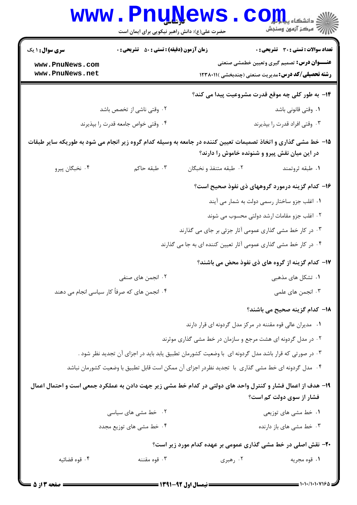|                                                                                                                                                                 | حضرت علی(ع): دانش راهبر نیکویی برای ایمان است      | د دانشکاه پ <b>یا با تار</b><br>7' مرڪز آزمون وسنڊش                                                             |  |  |
|-----------------------------------------------------------------------------------------------------------------------------------------------------------------|----------------------------------------------------|-----------------------------------------------------------------------------------------------------------------|--|--|
| <b>سری سوال : ۱ یک</b>                                                                                                                                          | <b>زمان آزمون (دقیقه) : تستی : 50 ٪ تشریحی : 0</b> | <b>تعداد سوالات : تستی : 30 ٪ تشریحی : 0</b>                                                                    |  |  |
| www.PnuNews.com<br>www.PnuNews.net                                                                                                                              |                                                    | <b>عنـــوان درس:</b> تصمیم گیری وتعیین خطمشی صنعتی<br><b>رشته تحصیلی/کد درس:</b> مدیریت صنعتی (چندبخشی )۱۲۳۸۰۱۱ |  |  |
|                                                                                                                                                                 |                                                    | <b>۱۴</b> - به طور کلی چه موقع قدرت مشروعیت پیدا می کند؟                                                        |  |  |
|                                                                                                                                                                 | ۰۲ وقتی ناشی از تخصص باشد                          | ٠١ وقتى قانونى باشد                                                                                             |  |  |
| ۰۴ وقتی خواص جامعه قدرت را بپذیرند                                                                                                                              |                                                    | ۰۳ وقتی افراد قدرت را بپذیرند                                                                                   |  |  |
| ۱۵– خط مشی گذاری و اتخاذ تصمیمات تعیین کننده در جامعه به وسیله کدام گروه زیر انجام می شود به طوریکه سایر طبقات<br>در این میان نقش پیرو و شنونده خاموش را دارند؟ |                                                    |                                                                                                                 |  |  |
| ۰۴ نخبگان پيرو                                                                                                                                                  | ۰۳ طبقه حاکم                                       | ۰۱ طبقه ثروتمند<br>۰۲ طبقه متنفذ و نخبگان                                                                       |  |  |
|                                                                                                                                                                 |                                                    | ۱۶– کدام گزینه درمورد گروههای ذی نفوذ صحیح است؟                                                                 |  |  |
|                                                                                                                                                                 |                                                    | ۰۱ اغلب جزو ساختار رسمی دولت به شمار می آیند                                                                    |  |  |
|                                                                                                                                                                 |                                                    | ۰۲ اغلب جزو مقامات ارشد دولتی محسوب می شوند                                                                     |  |  |
|                                                                                                                                                                 |                                                    | ۰۳ در کار خط مشی گذاری عمومی آثار جزئی بر جای می گذارند                                                         |  |  |
|                                                                                                                                                                 |                                                    | ۰۴ در کار خط مشی گذاری عمومی آثار تعیین کننده ای به جا می گذارند                                                |  |  |
|                                                                                                                                                                 |                                                    | ۱۷– کدام گزینه از گروه های ذی نفوذ محض می باشند؟                                                                |  |  |
|                                                                                                                                                                 | ۰۲ انجمن های صنفی                                  | ۰۱ تشکل های مذهبی                                                                                               |  |  |
|                                                                                                                                                                 | ۴ . انجمن های که صرفاً کار سیاسی انجام می دهند     | ۰۳ انجمن های علمی                                                                                               |  |  |
|                                                                                                                                                                 |                                                    | 18– كدام گزينه صحيح مي باشند؟                                                                                   |  |  |
|                                                                                                                                                                 |                                                    | ۰۱ مدیران عالی قوه مقننه در مرکز مدل گردونه ای قرار دارند                                                       |  |  |
|                                                                                                                                                                 |                                                    | ۰۲ در مدل گردونه ای هشت مرجع و سازمان در خط مشی گذاری موثرند                                                    |  |  |
|                                                                                                                                                                 |                                                    | ۰۳ در صورتی که قرار باشد مدل گردونه ای  با وضعیت کشورمان تطبیق یابد باید در اجزای آن تجدید نظر شود .            |  |  |
|                                                                                                                                                                 |                                                    | ۰۴ مدل گردونه ای خط مشی گذاری با تجدید نظردر اجزای آن ممکن است قابل تطبیق با وضعیت کشورمان نباشد                |  |  |
| ۱۹- هدف از اعمال فشار و کنترل واحد های دولتی در کدام خط مشی زیر جهت دادن به عملکرد جمعی است و احتمال اعمال<br>فشار از سوی دولت کم است؟                          |                                                    |                                                                                                                 |  |  |
|                                                                                                                                                                 | ۰۲ خط مشی های سیاسی                                | ۰۱ خط مشی های توزیعی                                                                                            |  |  |
|                                                                                                                                                                 | ۰۴ خط مشی های توزیع مجدد                           | ۰۳ خط مشی های باز دارنده                                                                                        |  |  |
| ۲۰- نقش اصلی در خط مشی گذاری عمومی بر عهده کدام مورد زیر است؟                                                                                                   |                                                    |                                                                                                                 |  |  |
| ۰۴ قوه قضائيه                                                                                                                                                   | ۰۳ قوه مقننه                                       | ۰۲ رهبری<br>١. قوه مجريه                                                                                        |  |  |
|                                                                                                                                                                 |                                                    |                                                                                                                 |  |  |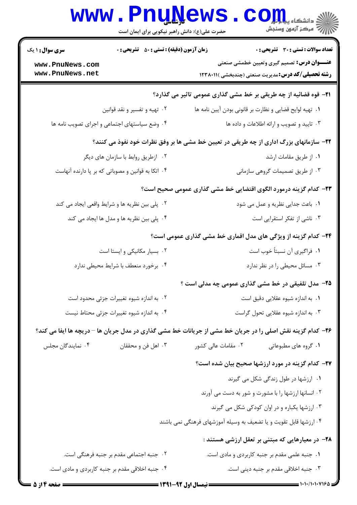| <b>WWW</b>                                                                             | <b>FUUNEWS</b><br>حضرت علی(ع): دانش راهبر نیکویی برای ایمان است                             | د دانشکاه پ <b>یا یا بار</b><br>د<br>رآ مرکز آزمون وسنجش                                                        |  |  |
|----------------------------------------------------------------------------------------|---------------------------------------------------------------------------------------------|-----------------------------------------------------------------------------------------------------------------|--|--|
| <b>سری سوال : ۱ یک</b>                                                                 | <b>زمان آزمون (دقیقه) : تستی : 50 ٪ تشریحی : 0</b><br>تعداد سوالات : تستي : 30 ٪ تشريحي : 0 |                                                                                                                 |  |  |
| www.PnuNews.com<br>www.PnuNews.net                                                     |                                                                                             | <b>عنـــوان درس:</b> تصمیم گیری وتعیین خطمشی صنعتی<br><b>رشته تحصیلی/کد درس:</b> مدیریت صنعتی (چندبخشی )۱۲۳۸۰۱۱ |  |  |
|                                                                                        |                                                                                             | <b>۲۱</b> - قوه قضائیه از چه طریقی بر خط مشی گذاری عمومی تاثیر می گذارد؟                                        |  |  |
| ۰۲ تهیه و تفسیر و نقد قوانین                                                           |                                                                                             | ٠١. تهيه لوايح قضايي و نظارت بر قانوني بودن آيين نامه ها                                                        |  |  |
| ۰۴ وضع سیاستهای اجتماعی و اجرای تصویب نامه ها                                          |                                                                                             | ۰۳ تایید و تصویب و ارائه اطلاعات و داده ها                                                                      |  |  |
| ۲۲- سازمانهای بزرگ اداری از چه طریقی در تعیین خط مشی ها بر وفق نظرات خود نفوذ می کنند؟ |                                                                                             |                                                                                                                 |  |  |
| ۰۲ ازطریق روابط با سازمان های دیگر                                                     |                                                                                             | ٠١. از طريق مقامات ارشد                                                                                         |  |  |
| ۰۴ اتکا به قوانین و مصوباتی که بر پا دارنده آنهاست                                     |                                                                                             | ۰۳ از طریق تصمیمات گروهی سازمانی                                                                                |  |  |
|                                                                                        |                                                                                             | ۲۳- کدام گزینه درمورد الگوی اقتضایی خط مشی گذاری عمومی صحیح است؟                                                |  |  |
|                                                                                        | ۰۲ پلی بین نظریه ها و شرایط واقعی ایجاد می کند                                              | ۰۱ باعث جدایی نظریه و عمل می شود                                                                                |  |  |
|                                                                                        | ۰۴ پلی بین نظریه ها و مدل ها ایجاد می کند                                                   | ۰۳ ناشی از تفکر استقرایی است                                                                                    |  |  |
| ۲۴- کدام گزینه از ویژگی های مدل اقماری خط مشی گذاری عمومی است؟                         |                                                                                             |                                                                                                                 |  |  |
|                                                                                        | ۰۲ بسیار مکانیکی و ایستا است                                                                | ٠١ فراگيري آن نسبتاً خوب است                                                                                    |  |  |
| ۰۴ برخورد منعطف با شرايط محيطى ندارد                                                   |                                                                                             | ۰۳ مسائل محیطی را در نظر ندارد                                                                                  |  |  |
|                                                                                        |                                                                                             | <b>۲۵</b> - مدل تلفیقی در خط مشی گذاری عمومی چه مدلی است ؟                                                      |  |  |
|                                                                                        | ۰۲ به اندازه شیوه تغییرات جزئی محدود است                                                    | ٠١. به اندازه شيوه عقلايي دقيق است                                                                              |  |  |
| ۰۴ به اندازه شیوه تغییرات جزئی محتاط نیست                                              |                                                                                             | ۰۳ به اندازه شیوه عقلایی تحول گراست                                                                             |  |  |
|                                                                                        |                                                                                             | ۲۶- کدام گزینه نقش اصلی را در جریان خط مشی از جریانات خط مشی گذاری در مدل جریان ها – دریچه ها ایفا می کند؟      |  |  |
| ۰۴ نمایندگان مجلس                                                                      | ۰۳ اهل فن و محققان                                                                          | ۰۲ مقامات عالی کشور<br>۰۱ گروه های مطبوعاتی                                                                     |  |  |
|                                                                                        |                                                                                             | <b>۲۷- کدام گزینه در مورد ارزشها صحیح بیان شده است؟</b>                                                         |  |  |
|                                                                                        |                                                                                             | ۰۱ ارزشها در طول زندگی شکل می گیرند                                                                             |  |  |
|                                                                                        |                                                                                             | ۰۲ انسانها ارزشها را با مشورت و شور به دست می آورند                                                             |  |  |
|                                                                                        |                                                                                             | ۰۳ ارزشها یکباره و در اوان کودکی شکل می گیرند                                                                   |  |  |
|                                                                                        |                                                                                             | ۰۴ ارزشها قابل تقویت و یا تضعیف به وسیله آموزشهای فرهنگی نمی باشند                                              |  |  |
|                                                                                        |                                                                                             | <b>۲۸</b> - در معیارهایی که مبتنی بر تعقل ارزشی هستند :                                                         |  |  |
|                                                                                        | ۰۲ جنبه اجتماعی مقدم بر جنبه فرهنگی است.                                                    | ٠١ جنبه علمي مقدم بر جنبه كاربردي و مادي است.                                                                   |  |  |
|                                                                                        | ۰۴ جنبه اخلاقی مقدم بر جنبه کاربردی و مادی است.<br>.                                        | ۰۳ جنبه اخلاقی مقدم بر جنبه دینی است.                                                                           |  |  |